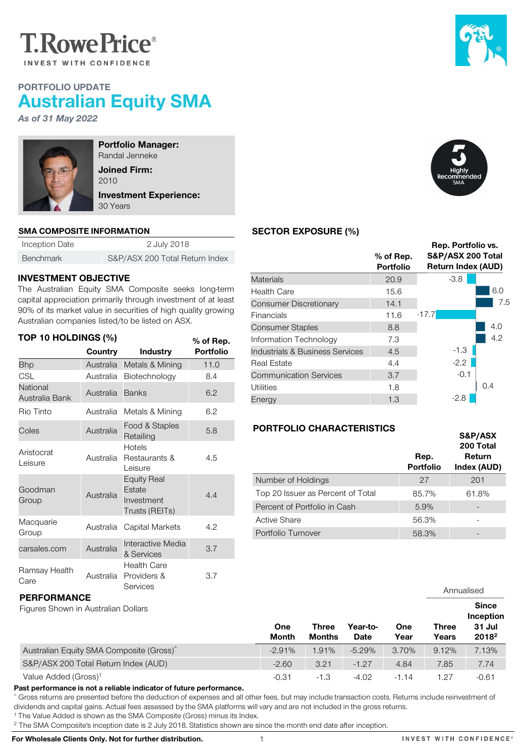

# PORTFOLIO UPDATE Australian Equity SMA

*As of 31 May 2022*



Portfolio Manager: Randal Jenneke Joined Firm: 2010 Investment Experience: 30 Years

#### SMA COMPOSITE INFORMATION

| Inception Date   | 2 July 2018                    |  |  |  |
|------------------|--------------------------------|--|--|--|
| <b>Benchmark</b> | S&P/ASX 200 Total Return Index |  |  |  |

### INVESTMENT OBJECTIVE

The Australian Equity SMA Composite seeks long-term capital appreciation primarily through investment of at least 90% of its market value in securities of high quality growing Australian companies listed/to be listed on ASX.

| TOP 10 HOLDINGS (%)<br>% of Rep. |           |                                                              |                  |  |  |  |
|----------------------------------|-----------|--------------------------------------------------------------|------------------|--|--|--|
|                                  | Country   | <b>Industry</b>                                              | <b>Portfolio</b> |  |  |  |
| <b>Bhp</b>                       | Australia | Metals & Mining                                              | 11.0             |  |  |  |
| CSL                              | Australia | Biotechnology                                                | 8.4              |  |  |  |
| National<br>Australia Bank       | Australia | <b>Banks</b>                                                 | 6.2              |  |  |  |
| Rio Tinto                        | Australia | Metals & Mining                                              | 6.2              |  |  |  |
| Coles                            | Australia | Food & Staples<br>Retailing                                  | 5.8              |  |  |  |
| Aristocrat<br>Leisure            | Australia | Hotels<br>Restaurants &<br>Leisure                           | 4.5              |  |  |  |
| Goodman<br>Group                 | Australia | <b>Equity Real</b><br>Estate<br>Investment<br>Trusts (REITs) | 4.4              |  |  |  |
| Macquarie<br>Group               | Australia | Capital Markets                                              | 4.2              |  |  |  |
| carsales.com                     | Australia | Interactive Media<br>& Services                              | 3.7              |  |  |  |
| Ramsay Health<br>Care            | Australia | Health Care<br>Providers &<br>Services                       | 3.7              |  |  |  |





 $\overline{\phantom{a}}$ 

## SECTOR EXPOSURE (%)

| $%$ of Rep.<br><b>Portfolio</b> | Rep. Portfolio vs.<br>S&P/ASX 200 Total<br><b>Return Index (AUD)</b> |     |  |  |
|---------------------------------|----------------------------------------------------------------------|-----|--|--|
| 20.9                            | $-3.8$                                                               |     |  |  |
| 15.6                            |                                                                      | 6.0 |  |  |
| 14.1                            |                                                                      | 7.5 |  |  |
| 11.6                            | $-17.7$                                                              |     |  |  |
| 8.8                             |                                                                      | 4.0 |  |  |
| 7.3                             |                                                                      | 4.2 |  |  |
| 4.5                             | $-1.3$                                                               |     |  |  |
| 4.4                             | $-2.2$                                                               |     |  |  |
| 3.7                             | $-0.1$                                                               |     |  |  |
| 1.8                             |                                                                      | 0.4 |  |  |
| 1.3                             | $-2.8$                                                               |     |  |  |
|                                 |                                                                      |     |  |  |

### PORTFOLIO CHARACTERISTICS

|                                   |                          | S&P/ASX<br>200 Total  |
|-----------------------------------|--------------------------|-----------------------|
|                                   | Rep.<br><b>Portfolio</b> | Return<br>Index (AUD) |
| Number of Holdings                | 27                       | 201                   |
| Top 20 Issuer as Percent of Total | 85.7%                    | 61.8%                 |
| Percent of Portfolio in Cash      | 5.9%                     | -                     |
| Active Share                      | 56.3%                    |                       |
| Portfolio Turnover                | 58.3%                    |                       |

| vu v<br><b>Services</b>                                   |  |                     |                        |                  |             |                       | Annualised                                               |
|-----------------------------------------------------------|--|---------------------|------------------------|------------------|-------------|-----------------------|----------------------------------------------------------|
| <b>PERFORMANCE</b><br>Figures Shown in Australian Dollars |  | One<br><b>Month</b> | Three<br><b>Months</b> | Year-to-<br>Date | One<br>Year | <b>Three</b><br>Years | <b>Since</b><br>Inception<br>31 Jul<br>2018 <sup>2</sup> |
| Australian Equity SMA Composite (Gross) <sup>^</sup>      |  | $-2.91%$            | 1.91%                  | $-5.29%$         | 3.70%       | 9.12%                 | 7.13%                                                    |
| S&P/ASX 200 Total Return Index (AUD)                      |  | $-2.60$             | 3.21                   | $-1.27$          | 4.84        | 7.85                  | 7.74                                                     |
| Value Added (Gross) <sup>1</sup>                          |  | $-0.31$             | $-1.3$                 | $-4.02$          | $-1.14$     | 1.27                  | $-0.61$                                                  |

Past performance is not a reliable indicator of future performance.

^ Gross returns are presented before the deduction of expenses and all other fees, but may include transaction costs. Returns include reinvestment of dividends and capital gains. Actual fees assessed by the SMA platforms will vary and are not included in the gross returns.

<sup>1</sup> The Value Added is shown as the SMA Composite (Gross) minus its Index.

<sup>2</sup> The SMA Composite's inception date is 2 July 2018. Statistics shown are since the month end date after inception.

For Wholesale Clients Only. Not for further distribution. 1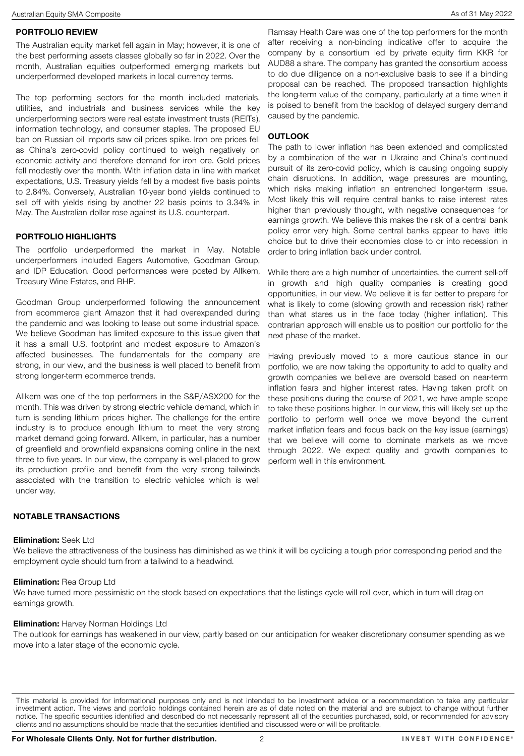The top performing sectors for the month included materials, utilities, and industrials and business services while the key underperforming sectors were real estate investment trusts (REITs), information technology, and consumer staples. The proposed EU ban on Russian oil imports saw oil prices spike. Iron ore prices fell as China's zero-covid policy continued to weigh negatively on economic activity and therefore demand for iron ore. Gold prices fell modestly over the month. With inflation data in line with market expectations, U.S. Treasury yields fell by a modest five basis points to 2.84%. Conversely, Australian 10-year bond yields continued to sell off with yields rising by another 22 basis points to 3.34% in May. The Australian dollar rose against its U.S. counterpart.

underperformed developed markets in local currency terms.

### PORTFOLIO HIGHLIGHTS

The portfolio underperformed the market in May. Notable underperformers included Eagers Automotive, Goodman Group, and IDP Education. Good performances were posted by Allkem, Treasury Wine Estates, and BHP.

Goodman Group underperformed following the announcement from ecommerce giant Amazon that it had overexpanded during the pandemic and was looking to lease out some industrial space. We believe Goodman has limited exposure to this issue given that it has a small U.S. footprint and modest exposure to Amazon's affected businesses. The fundamentals for the company are strong, in our view, and the business is well placed to benefit from strong longer-term ecommerce trends.

Allkem was one of the top performers in the S&P/ASX200 for the month. This was driven by strong electric vehicle demand, which in turn is sending lithium prices higher. The challenge for the entire industry is to produce enough lithium to meet the very strong market demand going forward. Allkem, in particular, has a number of greenfield and brownfield expansions coming online in the next three to five years. In our view, the company is well-placed to grow its production profile and benefit from the very strong tailwinds associated with the transition to electric vehicles which is well under way.

Ramsay Health Care was one of the top performers for the month after receiving a non-binding indicative offer to acquire the company by a consortium led by private equity firm KKR for AUD88 a share. The company has granted the consortium access to do due diligence on a non-exclusive basis to see if a binding proposal can be reached. The proposed transaction highlights the long-term value of the company, particularly at a time when it is poised to benefit from the backlog of delayed surgery demand caused by the pandemic.

## **OUTLOOK**

The path to lower inflation has been extended and complicated by a combination of the war in Ukraine and China's continued pursuit of its zero-covid policy, which is causing ongoing supply chain disruptions. In addition, wage pressures are mounting, which risks making inflation an entrenched longer-term issue. Most likely this will require central banks to raise interest rates higher than previously thought, with negative consequences for earnings growth. We believe this makes the risk of a central bank policy error very high. Some central banks appear to have little choice but to drive their economies close to or into recession in order to bring inflation back under control.

While there are a high number of uncertainties, the current sell-off in growth and high quality companies is creating good opportunities, in our view. We believe it is far better to prepare for what is likely to come (slowing growth and recession risk) rather than what stares us in the face today (higher inflation). This contrarian approach will enable us to position our portfolio for the next phase of the market.

Having previously moved to a more cautious stance in our portfolio, we are now taking the opportunity to add to quality and growth companies we believe are oversold based on near-term inflation fears and higher interest rates. Having taken profit on these positions during the course of 2021, we have ample scope to take these positions higher. In our view, this will likely set up the portfolio to perform well once we move beyond the current market inflation fears and focus back on the key issue (earnings) that we believe will come to dominate markets as we move through 2022. We expect quality and growth companies to perform well in this environment.

### NOTABLE TRANSACTIONS

#### Elimination: Seek Ltd

We believe the attractiveness of the business has diminished as we think it will be cyclicing a tough prior corresponding period and the employment cycle should turn from a tailwind to a headwind.

#### **Elimination: Rea Group Ltd**

We have turned more pessimistic on the stock based on expectations that the listings cycle will roll over, which in turn will drag on earnings growth.

### **Elimination:** Harvey Norman Holdings Ltd

The outlook for earnings has weakened in our view, partly based on our anticipation for weaker discretionary consumer spending as we move into a later stage of the economic cycle.

This material is provided for informational purposes only and is not intended to be investment advice or a recommendation to take any particular investment action. The views and portfolio holdings contained herein are as of date noted on the material and are subject to change without further notice. The specific securities identified and described do not necessarily represent all of the securities purchased, sold, or recommended for advisory clients and no assumptions should be made that the securities identified and discussed were or will be profitable.